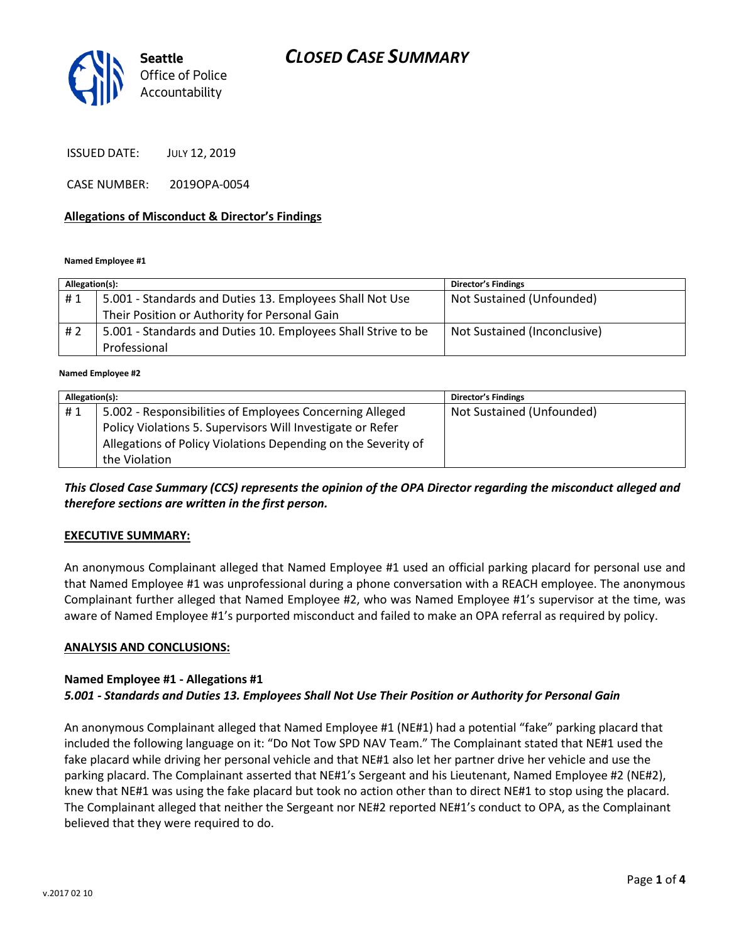

ISSUED DATE: JULY 12, 2019

CASE NUMBER: 2019OPA-0054

#### **Allegations of Misconduct & Director's Findings**

**Named Employee #1**

| Allegation(s): |                                                               | <b>Director's Findings</b>   |
|----------------|---------------------------------------------------------------|------------------------------|
| #1             | 5.001 - Standards and Duties 13. Employees Shall Not Use      | Not Sustained (Unfounded)    |
|                | Their Position or Authority for Personal Gain                 |                              |
| #2             | 5.001 - Standards and Duties 10. Employees Shall Strive to be | Not Sustained (Inconclusive) |
|                | Professional                                                  |                              |

ؚ<br>ا **Named Employee #2**

| Allegation(s): |                                                               | <b>Director's Findings</b> |
|----------------|---------------------------------------------------------------|----------------------------|
| #1             | 5.002 - Responsibilities of Employees Concerning Alleged      | Not Sustained (Unfounded)  |
|                | Policy Violations 5. Supervisors Will Investigate or Refer    |                            |
|                | Allegations of Policy Violations Depending on the Severity of |                            |
|                | the Violation                                                 |                            |

*This Closed Case Summary (CCS) represents the opinion of the OPA Director regarding the misconduct alleged and therefore sections are written in the first person.* 

## **EXECUTIVE SUMMARY:**

An anonymous Complainant alleged that Named Employee #1 used an official parking placard for personal use and that Named Employee #1 was unprofessional during a phone conversation with a REACH employee. The anonymous Complainant further alleged that Named Employee #2, who was Named Employee #1's supervisor at the time, was aware of Named Employee #1's purported misconduct and failed to make an OPA referral as required by policy.

#### **ANALYSIS AND CONCLUSIONS:**

#### **Named Employee #1 - Allegations #1** *5.001 - Standards and Duties 13. Employees Shall Not Use Their Position or Authority for Personal Gain*

An anonymous Complainant alleged that Named Employee #1 (NE#1) had a potential "fake" parking placard that included the following language on it: "Do Not Tow SPD NAV Team." The Complainant stated that NE#1 used the fake placard while driving her personal vehicle and that NE#1 also let her partner drive her vehicle and use the parking placard. The Complainant asserted that NE#1's Sergeant and his Lieutenant, Named Employee #2 (NE#2), knew that NE#1 was using the fake placard but took no action other than to direct NE#1 to stop using the placard. The Complainant alleged that neither the Sergeant nor NE#2 reported NE#1's conduct to OPA, as the Complainant believed that they were required to do.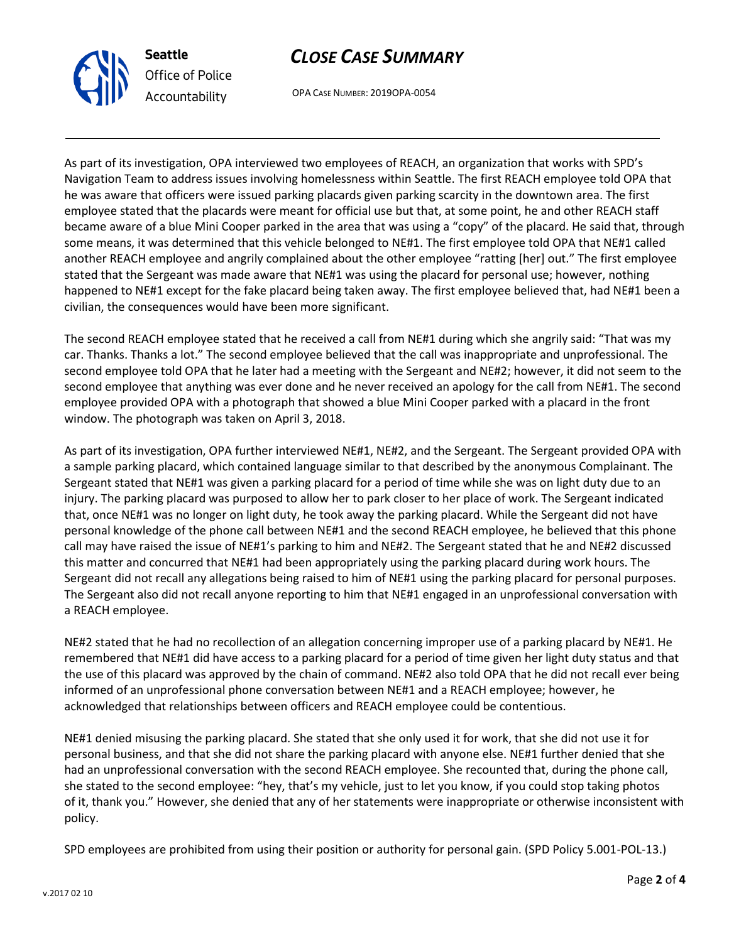



OPA CASE NUMBER: 2019OPA-0054

As part of its investigation, OPA interviewed two employees of REACH, an organization that works with SPD's Navigation Team to address issues involving homelessness within Seattle. The first REACH employee told OPA that he was aware that officers were issued parking placards given parking scarcity in the downtown area. The first employee stated that the placards were meant for official use but that, at some point, he and other REACH staff became aware of a blue Mini Cooper parked in the area that was using a "copy" of the placard. He said that, through some means, it was determined that this vehicle belonged to NE#1. The first employee told OPA that NE#1 called another REACH employee and angrily complained about the other employee "ratting [her] out." The first employee stated that the Sergeant was made aware that NE#1 was using the placard for personal use; however, nothing happened to NE#1 except for the fake placard being taken away. The first employee believed that, had NE#1 been a civilian, the consequences would have been more significant.

The second REACH employee stated that he received a call from NE#1 during which she angrily said: "That was my car. Thanks. Thanks a lot." The second employee believed that the call was inappropriate and unprofessional. The second employee told OPA that he later had a meeting with the Sergeant and NE#2; however, it did not seem to the second employee that anything was ever done and he never received an apology for the call from NE#1. The second employee provided OPA with a photograph that showed a blue Mini Cooper parked with a placard in the front window. The photograph was taken on April 3, 2018.

As part of its investigation, OPA further interviewed NE#1, NE#2, and the Sergeant. The Sergeant provided OPA with a sample parking placard, which contained language similar to that described by the anonymous Complainant. The Sergeant stated that NE#1 was given a parking placard for a period of time while she was on light duty due to an injury. The parking placard was purposed to allow her to park closer to her place of work. The Sergeant indicated that, once NE#1 was no longer on light duty, he took away the parking placard. While the Sergeant did not have personal knowledge of the phone call between NE#1 and the second REACH employee, he believed that this phone call may have raised the issue of NE#1's parking to him and NE#2. The Sergeant stated that he and NE#2 discussed this matter and concurred that NE#1 had been appropriately using the parking placard during work hours. The Sergeant did not recall any allegations being raised to him of NE#1 using the parking placard for personal purposes. The Sergeant also did not recall anyone reporting to him that NE#1 engaged in an unprofessional conversation with a REACH employee.

NE#2 stated that he had no recollection of an allegation concerning improper use of a parking placard by NE#1. He remembered that NE#1 did have access to a parking placard for a period of time given her light duty status and that the use of this placard was approved by the chain of command. NE#2 also told OPA that he did not recall ever being informed of an unprofessional phone conversation between NE#1 and a REACH employee; however, he acknowledged that relationships between officers and REACH employee could be contentious.

NE#1 denied misusing the parking placard. She stated that she only used it for work, that she did not use it for personal business, and that she did not share the parking placard with anyone else. NE#1 further denied that she had an unprofessional conversation with the second REACH employee. She recounted that, during the phone call, she stated to the second employee: "hey, that's my vehicle, just to let you know, if you could stop taking photos of it, thank you." However, she denied that any of her statements were inappropriate or otherwise inconsistent with policy.

SPD employees are prohibited from using their position or authority for personal gain. (SPD Policy 5.001-POL-13.)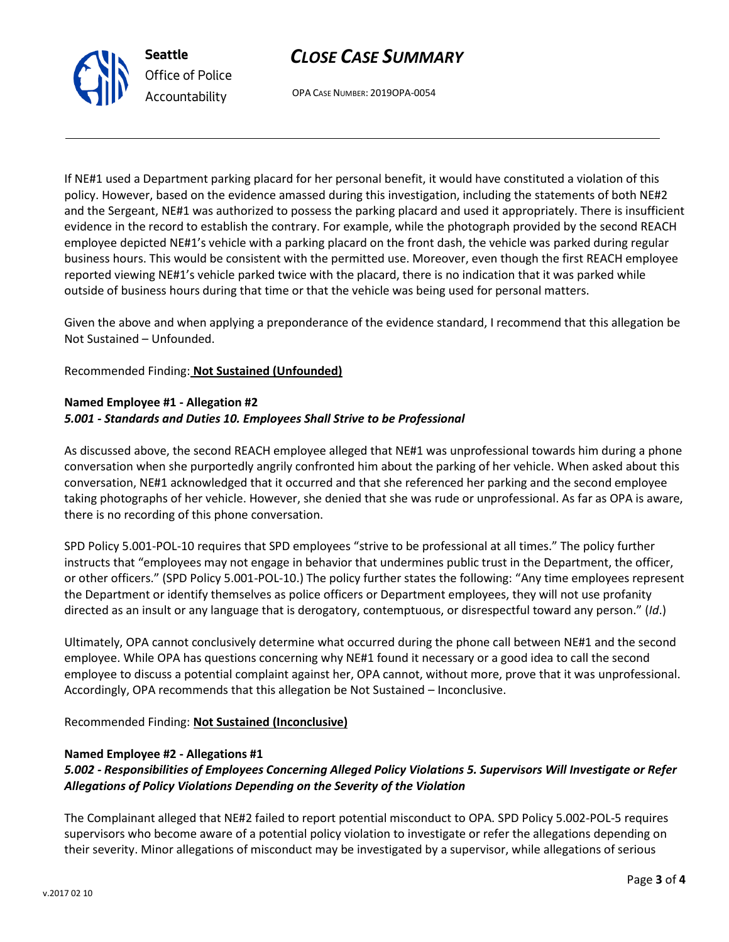

OPA CASE NUMBER: 2019OPA-0054

If NE#1 used a Department parking placard for her personal benefit, it would have constituted a violation of this policy. However, based on the evidence amassed during this investigation, including the statements of both NE#2 and the Sergeant, NE#1 was authorized to possess the parking placard and used it appropriately. There is insufficient evidence in the record to establish the contrary. For example, while the photograph provided by the second REACH employee depicted NE#1's vehicle with a parking placard on the front dash, the vehicle was parked during regular business hours. This would be consistent with the permitted use. Moreover, even though the first REACH employee reported viewing NE#1's vehicle parked twice with the placard, there is no indication that it was parked while outside of business hours during that time or that the vehicle was being used for personal matters.

Given the above and when applying a preponderance of the evidence standard, I recommend that this allegation be Not Sustained – Unfounded.

Recommended Finding: **Not Sustained (Unfounded)**

**Seattle**

*Office of Police Accountability*

## **Named Employee #1 - Allegation #2** *5.001 - Standards and Duties 10. Employees Shall Strive to be Professional*

As discussed above, the second REACH employee alleged that NE#1 was unprofessional towards him during a phone conversation when she purportedly angrily confronted him about the parking of her vehicle. When asked about this conversation, NE#1 acknowledged that it occurred and that she referenced her parking and the second employee taking photographs of her vehicle. However, she denied that she was rude or unprofessional. As far as OPA is aware, there is no recording of this phone conversation.

SPD Policy 5.001-POL-10 requires that SPD employees "strive to be professional at all times." The policy further instructs that "employees may not engage in behavior that undermines public trust in the Department, the officer, or other officers." (SPD Policy 5.001-POL-10.) The policy further states the following: "Any time employees represent the Department or identify themselves as police officers or Department employees, they will not use profanity directed as an insult or any language that is derogatory, contemptuous, or disrespectful toward any person." (*Id*.)

Ultimately, OPA cannot conclusively determine what occurred during the phone call between NE#1 and the second employee. While OPA has questions concerning why NE#1 found it necessary or a good idea to call the second employee to discuss a potential complaint against her, OPA cannot, without more, prove that it was unprofessional. Accordingly, OPA recommends that this allegation be Not Sustained – Inconclusive.

Recommended Finding: **Not Sustained (Inconclusive)**

## **Named Employee #2 - Allegations #1**

## *5.002 - Responsibilities of Employees Concerning Alleged Policy Violations 5. Supervisors Will Investigate or Refer Allegations of Policy Violations Depending on the Severity of the Violation*

The Complainant alleged that NE#2 failed to report potential misconduct to OPA. SPD Policy 5.002-POL-5 requires supervisors who become aware of a potential policy violation to investigate or refer the allegations depending on their severity. Minor allegations of misconduct may be investigated by a supervisor, while allegations of serious